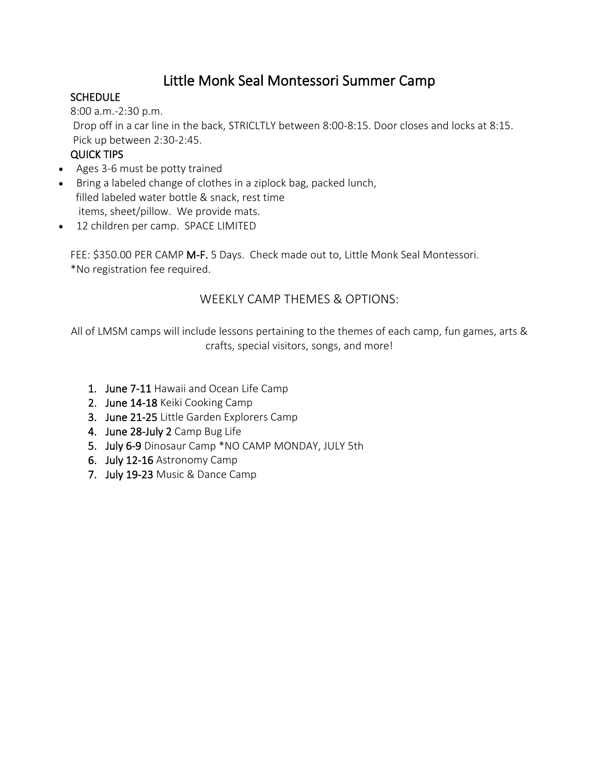## Little Monk Seal Montessori Summer Camp

#### **SCHEDULE**

8:00 a.m.-2:30 p.m. Drop off in a car line in the back, STRICLTLY between 8:00-8:15. Door closes and locks at 8:15. Pick up between 2:30-2:45.

#### QUICK TIPS

- Ages 3-6 must be potty trained
- Bring a labeled change of clothes in a ziplock bag, packed lunch, filled labeled water bottle & snack, rest time items, sheet/pillow. We provide mats.
- 12 children per camp. SPACE LIMITED

FEE: \$350.00 PER CAMP M-F. 5 Days. Check made out to, Little Monk Seal Montessori. \*No registration fee required.

#### WEEKLY CAMP THEMES & OPTIONS:

All of LMSM camps will include lessons pertaining to the themes of each camp, fun games, arts & crafts, special visitors, songs, and more!

- 1. June 7-11 Hawaii and Ocean Life Camp
- 2. June 14-18 Keiki Cooking Camp
- 3. June 21-25 Little Garden Explorers Camp
- 4. June 28-July 2 Camp Bug Life
- 5. July 6-9 Dinosaur Camp \*NO CAMP MONDAY, JULY 5th
- 6. July 12-16 Astronomy Camp
- 7. July 19-23 Music & Dance Camp